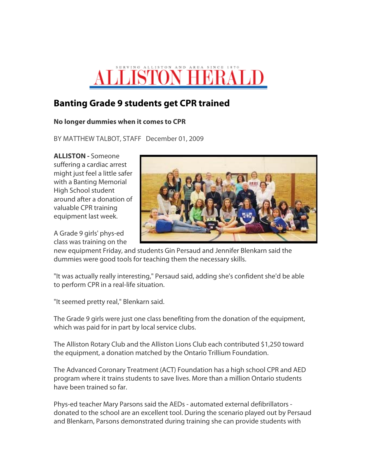## **LLISTON HBRALI**

## **Banting Grade 9 students get CPR trained**

## **No longer dummies when it comes to CPR**

BY MATTHEW TALBOT, STAFF December 01, 2009

**ALLISTON -** Someone suffering a cardiac arrest might just feel a little safer with a Banting Memorial High School student around after a donation of valuable CPR training equipment last week.

A Grade 9 girls' phys-ed class was training on the



new equipment Friday, and students Gin Persaud and Jennifer Blenkarn said the dummies were good tools for teaching them the necessary skills.

"It was actually really interesting," Persaud said, adding she's confident she'd be able to perform CPR in a real-life situation.

"It seemed pretty real," Blenkarn said.

The Grade 9 girls were just one class benefiting from the donation of the equipment, which was paid for in part by local service clubs.

The Alliston Rotary Club and the Alliston Lions Club each contributed \$1,250 toward the equipment, a donation matched by the Ontario Trillium Foundation.

The Advanced Coronary Treatment (ACT) Foundation has a high school CPR and AED program where it trains students to save lives. More than a million Ontario students have been trained so far.

Phys-ed teacher Mary Parsons said the AEDs - automated external defibrillators donated to the school are an excellent tool. During the scenario played out by Persaud and Blenkarn, Parsons demonstrated during training she can provide students with